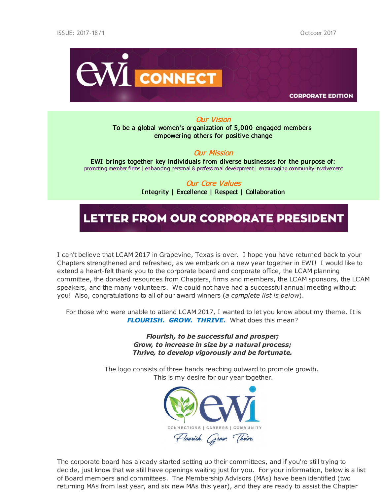

**CORPORATE EDITION** 

### Our Vision

To be a global women's organization of 5,000 engaged members empowering others for positive change

### Our Mission

EWI brings together key individuals from diverse businesses for the purpose of: promoting member firms | enhancing personal & professional development | encouraging community involvement

### Our Core Values

I ntegrity | Excellence | Respect | Collaboration

### LETTER FROM OUR CORPORATE PRESIDENT

I can't believe that LCAM 2017 in Grapevine, Texas is over. I hope you have returned back to your Chapters strengthened and refreshed, as we embark on a new year together in EWI! I would like to extend a heart-felt thank you to the corporate board and corporate office, the LCAM planning committee, the donated resources from Chapters, firms and members, the LCAM sponsors, the LCAM speakers, and the many volunteers. We could not have had a successful annual meeting without you! Also, congratulations to all of our award winners (*a complete list is below*).

For those who were unable to attend LCAM 2017, I wanted to let you know about my theme. It is *FLOURISH. GROW. THRIVE.* What does this mean?

> *Flourish, to be successful and prosper; Grow, to increase in size by a natural process; Thrive, to develop vigorously and be fortunate.*

The logo consists of three hands reaching outward to promote growth. This is my desire for our year together.



The corporate board has already started setting up their committees, and if you're still trying to decide, just know that we still have openings waiting just for you. For your information, below is a list of Board members and committees. The Membership Advisors (MAs) have been identified (two returning MAs from last year, and six new MAs this year), and they are ready to assist the Chapter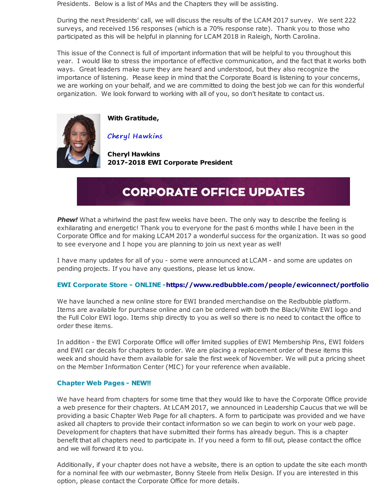Presidents. Below is a list of MAs and the Chapters they will be assisting.

During the next Presidents' call, we will discuss the results of the LCAM 2017 survey. We sent 222 surveys, and received 156 responses (which is a 70% response rate). Thank you to those who participated as this will be helpful in planning for LCAM 2018 in Raleigh, North Carolina.

This issue of the Connect is full of important information that will be helpful to you throughout this year. I would like to stress the importance of effective communication, and the fact that it works both ways. Great leaders make sure they are heard and understood, but they also recognize the importance of listening. Please keep in mind that the Corporate Board is listening to your concerns, we are working on your behalf, and we are committed to doing the best job we can for this wonderful organization. We look forward to working with all of you, so don't hesitate to contact us.



**With Gratitude,**

Cheryl Hawkins

**Cheryl Hawkins 2017-2018 EWI Corporate President**

## **CORPORATE OFFICE UPDATES**

**Phew!** What a whirlwind the past few weeks have been. The only way to describe the feeling is exhilarating and energetic! Thank you to everyone for the past 6 months while I have been in the Corporate Office and for making LCAM 2017 a wonderful success for the organization. It was so good to see everyone and I hope you are planning to join us next year as well!

I have many updates for all of you - some were announced at LCAM - and some are updates on pending projects. If you have any questions, please let us know.

### **EWI Corporate Store - ONLINE -https://www.redbubble.com/people/ewiconnect/portfolio**

We have launched a new online store for EWI branded merchandise on the Redbubble platform. Items are available for purchase online and can be ordered with both the Black/White EWI logo and the Full Color EWI logo. Items ship directly to you as well so there is no need to contact the office to order these items.

In addition - the EWI Corporate Office will offer limited supplies of EWI Membership Pins, EWI folders and EWI car decals for chapters to order. We are placing a replacement order of these items this week and should have them available for sale the first week of November. We will put a pricing sheet on the Member Information Center (MIC) for your reference when available.

### **Chapter Web Pages - NEW!!**

We have heard from chapters for some time that they would like to have the Corporate Office provide a web presence for their chapters. At LCAM 2017, we announced in Leadership Caucus that we will be providing a basic Chapter Web Page for all chapters. A form to participate was provided and we have asked all chapters to provide their contact information so we can begin to work on your web page. Development for chapters that have submitted their forms has already begun. This is a chapter benefit that all chapters need to participate in. If you need a form to fill out, please contact the office and we will forward it to you.

Additionally, if your chapter does not have a website, there is an option to update the site each month for a nominal fee with our webmaster, Bonny Steele from Helix Design. If you are interested in this option, please contact the Corporate Office for more details.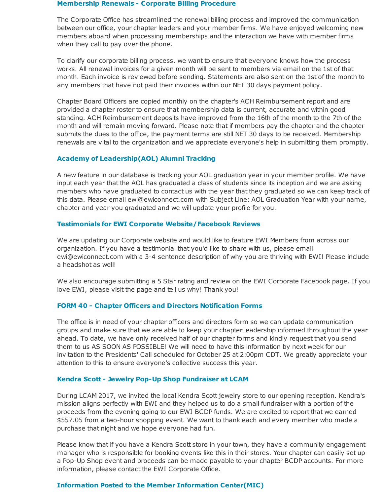#### **Membership Renewals - Corporate Billing Procedure**

The Corporate Office has streamlined the renewal billing process and improved the communication between our office, your chapter leaders and your member firms. We have enjoyed welcoming new members aboard when processing memberships and the interaction we have with member firms when they call to pay over the phone.

To clarify our corporate billing process, we want to ensure that everyone knows how the process works. All renewal invoices for a given month will be sent to members via email on the 1st of that month. Each invoice is reviewed before sending. Statements are also sent on the 1st of the month to any members that have not paid their invoices within our NET 30 days payment policy.

Chapter Board Officers are copied monthly on the chapter's ACH Reimbursement report and are provided a chapter roster to ensure that membership data is current, accurate and within good standing. ACH Reimbursement deposits have improved from the 16th of the month to the 7th of the month and will remain moving forward. Please note that if members pay the chapter and the chapter submits the dues to the office, the payment terms are still NET 30 days to be received. Membership renewals are vital to the organization and we appreciate everyone's help in submitting them promptly.

### **Academy of Leadership(AOL) Alumni Tracking**

A new feature in our database is tracking your AOL graduation year in your member profile. We have input each year that the AOL has graduated a class of students since its inception and we are asking members who have graduated to contact us with the year that they graduated so we can keep track of this data. Please email ewi@ewiconnect.com with Subject Line: AOL Graduation Year with your name, chapter and year you graduated and we will update your profile for you.

### **Testimonials for EWI Corporate Website/Facebook Reviews**

We are updating our Corporate website and would like to feature EWI Members from across our organization. If you have a testimonial that you'd like to share with us, please email ewi@ewiconnect.com with a 3-4 sentence description of why you are thriving with EWI! Please include a headshot as well!

We also encourage submitting a 5 Star rating and review on the EWI Corporate Facebook page. If you love EWI, please visit the page and tell us why! Thank you!

### **FORM 40 - Chapter Officers and Directors Notification Forms**

The office is in need of your chapter officers and directors form so we can update communication groups and make sure that we are able to keep your chapter leadership informed throughout the year ahead. To date, we have only received half of our chapter forms and kindly request that you send them to us AS SOON AS POSSIBLE! We will need to have this information by next week for our invitation to the Presidents' Call scheduled for October 25 at 2:00pm CDT. We greatly appreciate your attention to this to ensure everyone's collective success this year.

#### **Kendra Scott - Jewelry Pop-Up Shop Fundraiser at LCAM**

During LCAM 2017, we invited the local Kendra Scott jewelry store to our opening reception. Kendra's mission aligns perfectly with EWI and they helped us to do a small fundraiser with a portion of the proceeds from the evening going to our EWI BCDP funds. We are excited to report that we earned \$557.05 from a two-hour shopping event. We want to thank each and every member who made a purchase that night and we hope everyone had fun.

Please know that if you have a Kendra Scott store in your town, they have a community engagement manager who is responsible for booking events like this in their stores. Your chapter can easily set up a Pop-Up Shop event and proceeds can be made payable to your chapter BCDP accounts. For more information, please contact the EWI Corporate Office.

### **Information Posted to the Member Information Center(MIC)**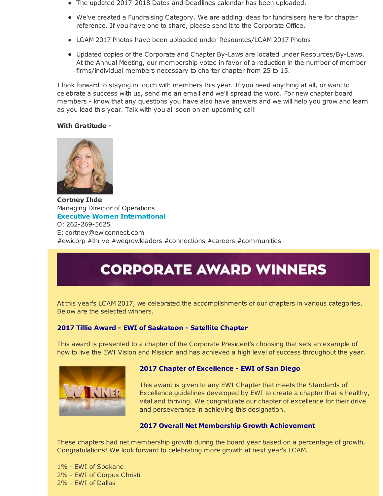- The updated 2017-2018 Dates and Deadlines calendar has been uploaded.
- We've created a Fundraising Category. We are adding ideas for fundraisers here for chapter reference. If you have one to share, please send it to the Corporate Office.
- LCAM 2017 Photos have been uploaded under Resources/LCAM 2017 Photos
- Updated copies of the Corporate and Chapter By-Laws are located under Resources/By-Laws. At the Annual Meeting, our membership voted in favor of a reduction in the number of member firms/individual members necessary to charter chapter from 25 to 15.

I look forward to staying in touch with members this year. If you need anything at all, or want to celebrate a success with us, send me an email and we'll spread the word. For new chapter board members - know that any questions you have also have answers and we will help you grow and learn as you lead this year. Talk with you all soon on an upcoming call!

### **With Gratitude -**



**Cortney Ihde** Managing Director of Operations **Executive Women International** O: 262-269-5625 E: cortney@ewiconnect.com #ewicorp #thrive #wegrowleaders #connections #careers #communities

# **CORPORATE AWARD WINNERS**

At this year's LCAM 2017, we celebrated the accomplishments of our chapters in various categories. Below are the selected winners.

### **2017 Tillie Award - EWI of Saskatoon - Satellite Chapter**

This award is presented to a chapter of the Corporate President's choosing that sets an example of how to live the EWI Vision and Mission and has achieved a high level of success throughout the year.



### **2017 Chapter of Excellence - EWI of San Diego**

This award is given to any EWI Chapter that meets the Standards of Excellence guidelines developed by EWI to create a chapter that is healthy, vital and thriving. We congratulate our chapter of excellence for their drive and perseverance in achieving this designation.

### **2017 Overall Net Membership Growth Achievement**

These chapters had net membership growth during the board year based on a percentage of growth. Congratulations! We look forward to celebrating more growth at next year's LCAM.

1% - EWI of Spokane 2% - EWI of Corpus Christi 2% - EWI of Dallas

2% - EWI of Wichita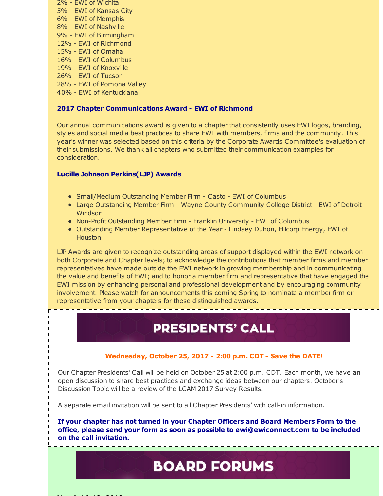- 2% EWI of Wichita 5% - EWI of Kansas City 6% - EWI of Memphis 8% - EWI of Nashville 9% - EWI of Birmingham 12% - EWI of Richmond 15% - EWI of Omaha 16% - EWI of Columbus 19% - EWI of Knoxville 26% - EWI of Tucson 28% - EWI of Pomona Valley
- 40% EWI of Kentuckiana

**March 16-18, 2018**

### **2017 Chapter Communications Award - EWI of Richmond**

Our annual communications award is given to a chapter that consistently uses EWI logos, branding, styles and social media best practices to share EWI with members, firms and the community. This year's winner was selected based on this criteria by the Corporate Awards Committee's evaluation of their submissions. We thank all chapters who submitted their communication examples for consideration.

### **Lucille Johnson Perkins(LJP) Awards**

- **Small/Medium Outstanding Member Firm Casto EWI of Columbus**
- Large Outstanding Member Firm Wayne County Community College District EWI of Detroit-Windsor
- Non-Profit Outstanding Member Firm Franklin University EWI of Columbus
- Outstanding Member Representative of the Year Lindsey Duhon, Hilcorp Energy, EWI of **Houston**

LJP Awards are given to recognize outstanding areas of support displayed within the EWI network on both Corporate and Chapter levels; to acknowledge the contributions that member firms and member representatives have made outside the EWI network in growing membership and in communicating the value and benefits of EWI; and to honor a member firm and representative that have engaged the EWI mission by enhancing personal and professional development and by encouraging community involvement. Please watch for announcements this coming Spring to nominate a member firm or representative from your chapters for these distinguished awards.

### **PRESIDENTS' CALL**

### **Wednesday, October 25, 2017 - 2:00 p.m. CDT - Save the DATE!**

Our Chapter Presidents' Call will be held on October 25 at 2:00 p.m. CDT. Each month, we have an open discussion to share best practices and exchange ideas between our chapters. October's Discussion Topic will be a review of the LCAM 2017 Survey Results.

A separate email invitation will be sent to all Chapter Presidents' with call-in information.

**If your chapter has not turned in your Chapter Officers and Board Members Form to the office, please send your form as soon as possible to ewi@ewiconnect.com to be included on the call invitation.**

## **BOARD FORUMS**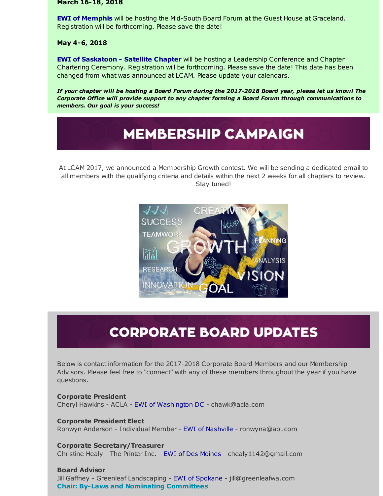**March 16-18, 2018**

**EWI of Memphis** will be hosting the Mid-South Board Forum at the Guest House at Graceland. Registration will be forthcoming. Please save the date!

### **May 4-6, 2018**

**EWI of Saskatoon - Satellite Chapter** will be hosting a Leadership Conference and Chapter Chartering Ceremony. Registration will be forthcoming. Please save the date! This date has been changed from what was announced at LCAM. Please update your calendars.

If your chapter will be hosting a Board Forum during the 2017-2018 Board year, please let us know! The *Corporate Office will provide support to any chapter forming a Board Forum through communications to members. Our goal is your success!*

# **MEMBERSHIP CAMPAIGN**

At LCAM 2017, we announced a Membership Growth contest. We will be sending a dedicated email to all members with the qualifying criteria and details within the next 2 weeks for all chapters to review. Stay tuned!



# **CORPORATE BOARD UPDATES**

Below is contact information for the 2017-2018 Corporate Board Members and our Membership Advisors. Please feel free to "connect" with any of these members throughout the year if you have questions.

### **Corporate President**

Cheryl Hawkins - ACLA - EWI of Washington DC - chawk@acla.com

### **Corporate President Elect**

Ronwyn Anderson - Individual Member - EWI of Nashville - ronwyna@aol.com

### **Corporate Secretary/Treasurer**

Christine Healy - The Printer Inc. - EWI of Des Moines - chealy1142@gmail.com

### **Board Advisor**

Jill Gaffney - Greenleaf Landscaping - EWI of Spokane - jill@greenleafwa.com **Chair: By-Laws and Nominating Committees**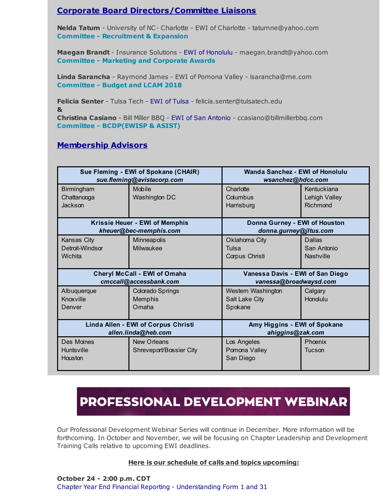### **Corporate Board Directors/Committee Liaisons**

**Nelda Tatum** - University of NC- Charlotte - EWI of Charlotte - tatumne@yahoo.com **Committee - Recruitment & Expansion**

**Maegan Brandt** - Insurance Solutions - EWI of Honolulu - maegan.brandt@yahoo.com **Committee - Marketing and Corporate Awards**

**Linda Sarancha** - Raymond James - EWI of Pomona Valley - lsarancha@me.com **Committee - Budget and LCAM 2018**

**Felicia Senter** - Tulsa Tech - EWI of Tulsa - felicia.senter@tulsatech.edu **& Christina Casiano** - Bill Miller BBQ - EWI of San Antonio - ccasiano@billmillerbbq.com **Committee - BCDP(EWISP & ASIST)**

### **Membership Advisors**

| Sue Fleming - EWI of Spokane (CHAIR)<br>sue.fleming@avistacorp.com |                                     | Wanda Sanchez - EWI of Honolulu<br>wsanchez@hdcc.com    |                  |
|--------------------------------------------------------------------|-------------------------------------|---------------------------------------------------------|------------------|
| Birmingham                                                         | Mobile                              | Charlotte                                               | Kentuckiana      |
| Chattanooga                                                        | Washington DC                       | Columbus                                                | Lehigh Valley    |
| Jackson                                                            |                                     | Harrisburg                                              | Richmond         |
| Krissie Heuer - EWI of Memphis<br>kheuer@bec-memphis.com           |                                     | Donna Gurney - EWI of Houston<br>donna.gurney@jltus.com |                  |
| Kansas City                                                        | Minneapolis                         | Oklahoma City                                           | Dallas           |
| Detroit-Windsor                                                    | Milwaukee                           | Tulsa                                                   | San Antonio      |
| Wichita                                                            |                                     | Corpus Christi                                          | <b>Nashville</b> |
|                                                                    |                                     |                                                         |                  |
|                                                                    | <b>Cheryl McCall - EWI of Omaha</b> | Vanessa Davis - EWI of San Diego                        |                  |
| cmccall@accessbank.com                                             |                                     | vanessa@broadwaysd.com                                  |                  |
|                                                                    |                                     |                                                         |                  |
| Albuquerque                                                        | <b>Colorado Springs</b>             | Western Washington                                      | Calgary          |
| Knoxville                                                          | Memphis                             | Salt Lake City                                          | Honolulu         |
| Denver                                                             | Omaha                               | Spokane                                                 |                  |
|                                                                    |                                     |                                                         |                  |
|                                                                    | Linda Allen - EWI of Corpus Christi | Amy Higgins - EWI of Spokane                            |                  |
|                                                                    | allen.linda@heb.com                 | ahiggins@zak.com                                        |                  |
| Des Moines                                                         | <b>New Orleans</b>                  | Los Angeles                                             | Phoenix          |
| <b>Huntsville</b>                                                  | Shreveport/Bossier City             | Pomona Valley                                           | Tucson           |
| Houston                                                            |                                     | San Diego                                               |                  |

# PROFESSIONAL DEVELOPMENT WEBINAR

Our Professional Development Webinar Series will continue in December. More information will be forthcoming. In October and November, we will be focusing on Chapter Leadership and Development Training Calls relative to upcoming EWI deadlines.

### **Here is our schedule of calls and topics upcoming:**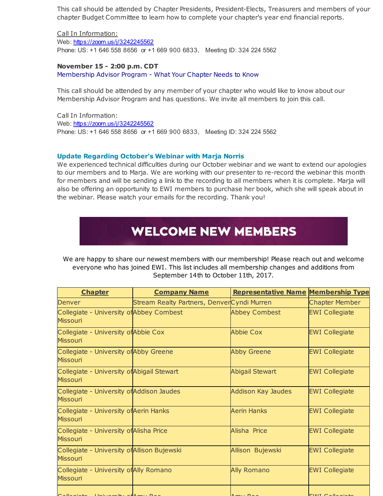This call should be attended by Chapter Presidents, President-Elects, Treasurers and members of your chapter Budget Committee to learn how to complete your chapter's year end financial reports.

Call In Information: Web: [https://zoom.us/j/3242245562](http://r20.rs6.net/tn.jsp?f=001xWglUr0zs-xNqiIMjju3kYG9xJ19yc8y74BVHIih7H52MqMm2jWlAxcpkoG1diRzAfTDh5qTOWEN_cy3wM9tOQtA6pCrCU7Vq6-jgaKxCE2_3rwoywtV9VTj5k7FchHBKx5nUA5HKLxqpjDTrf227P3J9tDXwBXaCjIHu_yB4hm4_ydsSzVNRw==&c=&ch=) Phone: US: +1 646 558 8656 or +1 669 900 6833, Meeting ID: 324 224 5562

### **November 15 - 2:00 p.m. CDT**

Membership Advisor Program - What Your Chapter Needs to Know

This call should be attended by any member of your chapter who would like to know about our Membership Advisor Program and has questions. We invite all members to join this call.

Call In Information: Web: [https://zoom.us/j/3242245562](http://r20.rs6.net/tn.jsp?f=001xWglUr0zs-xNqiIMjju3kYG9xJ19yc8y74BVHIih7H52MqMm2jWlAxcpkoG1diRzAfTDh5qTOWEN_cy3wM9tOQtA6pCrCU7Vq6-jgaKxCE2_3rwoywtV9VTj5k7FchHBKx5nUA5HKLxqpjDTrf227P3J9tDXwBXaCjIHu_yB4hm4_ydsSzVNRw==&c=&ch=) Phone: US: +1 646 558 8656 or +1 669 900 6833, Meeting ID: 324 224 5562

### **Update Regarding October's Webinar with Marja Norris**

We experienced technical difficulties during our October webinar and we want to extend our apologies to our members and to Marja. We are working with our presenter to re-record the webinar this month for members and will be sending a link to the recording to all members when it is complete. Marja will also be offering an opportunity to EWI members to purchase her book, which she will speak about in the webinar. Please watch your emails for the recording. Thank you!

# **WELCOME NEW MEMBERS**

We are happy to share our newest members with our membership! Please reach out and welcome everyone who has joined EWI. This list includes all membership changes and additions from September 14th to October 11th, 2017.

| <b>Chapter</b>                                                 | <b>Company Name</b>                        | <b>Representative Name Membership Type</b> |                         |
|----------------------------------------------------------------|--------------------------------------------|--------------------------------------------|-------------------------|
| Denver                                                         | Stream Realty Partners, DenverCyndi Murren |                                            | <b>Chapter Member</b>   |
| Collegiate - University of Abbey Combest<br><b>Missouri</b>    |                                            | <b>Abbey Combest</b>                       | <b>EWI Collegiate</b>   |
| Collegiate - University of Abbie Cox<br><b>Missouri</b>        |                                            | <b>Abbie Cox</b>                           | <b>EWI Collegiate</b>   |
| Collegiate - University of Abby Greene<br><b>Missouri</b>      |                                            | <b>Abby Greene</b>                         | <b>EWI Collegiate</b>   |
| Collegiate - University of Abigail Stewart<br><b>Missouri</b>  |                                            | <b>Abigail Stewart</b>                     | <b>EWI Collegiate</b>   |
| Collegiate - University of Addison Jaudes<br><b>Missouri</b>   |                                            | <b>Addison Kay Jaudes</b>                  | <b>EWI Collegiate</b>   |
| Collegiate - University of Aerin Hanks<br><b>Missouri</b>      |                                            | <b>Aerin Hanks</b>                         | <b>EWI Collegiate</b>   |
| Collegiate - University of Alisha Price<br><b>Missouri</b>     |                                            | Alisha Price                               | <b>EWI Collegiate</b>   |
| Collegiate - University of Allison Bujewski<br><b>Missouri</b> |                                            | Allison Bujewski                           | <b>EWI Collegiate</b>   |
| Collegiate - University of Ally Romano<br><b>Missouri</b>      |                                            | <b>Ally Romano</b>                         | <b>EWI Collegiate</b>   |
|                                                                |                                            |                                            | $T$ $M$ $T$ $C$ $N$ $L$ |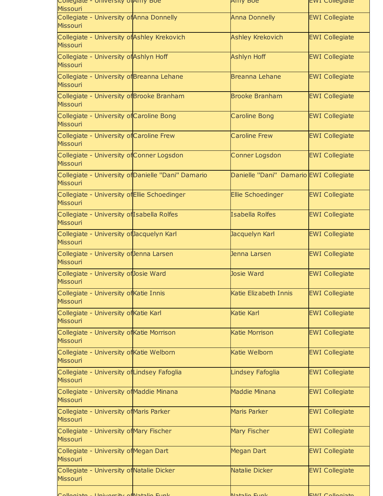| <b>Missouri</b>                                                 |                                                    |                                        |                       |
|-----------------------------------------------------------------|----------------------------------------------------|----------------------------------------|-----------------------|
| Collegiate - University of Anna Donnelly<br><b>Missouri</b>     |                                                    | <b>Anna Donnelly</b>                   | <b>EWI Collegiate</b> |
| Collegiate - University of Ashley Krekovich<br><b>Missouri</b>  |                                                    | <b>Ashley Krekovich</b>                | <b>EWI Collegiate</b> |
| Collegiate - University of Ashlyn Hoff<br><b>Missouri</b>       |                                                    | <b>Ashlyn Hoff</b>                     | <b>EWI Collegiate</b> |
| Collegiate - University of Breanna Lehane<br><b>Missouri</b>    |                                                    | <b>Breanna Lehane</b>                  | <b>EWI Collegiate</b> |
| Collegiate - University of Brooke Branham<br><b>Missouri</b>    |                                                    | <b>Brooke Branham</b>                  | <b>EWI Collegiate</b> |
| Collegiate - University of Caroline Bong<br><b>Missouri</b>     |                                                    | <b>Caroline Bong</b>                   | <b>EWI Collegiate</b> |
| Collegiate - University of Caroline Frew<br><b>Missouri</b>     |                                                    | <b>Caroline Frew</b>                   | <b>EWI Collegiate</b> |
| Collegiate - University of Conner Logsdon<br><b>Missouri</b>    |                                                    | <b>Conner Logsdon</b>                  | <b>EWI Collegiate</b> |
| <b>Missouri</b>                                                 | Collegiate - University of Danielle "Dani" Damario | Danielle "Dani" Damario EWI Collegiate |                       |
| Collegiate - University of Ellie Schoedinger<br><b>Missouri</b> |                                                    | <b>Ellie Schoedinger</b>               | <b>EWI Collegiate</b> |
| Collegiate - University of Isabella Rolfes<br><b>Missouri</b>   |                                                    | <b>Isabella Rolfes</b>                 | <b>EWI Collegiate</b> |
| Collegiate - University of Jacquelyn Karl<br><b>Missouri</b>    |                                                    | Jacquelyn Karl                         | <b>EWI Collegiate</b> |
| Collegiate - University of Jenna Larsen<br><b>Missouri</b>      |                                                    | Jenna Larsen                           | <b>EWI Collegiate</b> |
| Collegiate - University of Josie Ward<br><b>Missouri</b>        |                                                    | <b>Josie Ward</b>                      | <b>EWI Collegiate</b> |
| Collegiate - University ofKatie Innis<br><b>Missouri</b>        |                                                    | Katie Elizabeth Innis                  | <b>EWI Collegiate</b> |
| Collegiate - University of Katie Karl<br><b>Missouri</b>        |                                                    | Katie Karl                             | <b>EWI Collegiate</b> |
| Collegiate - University of Katie Morrison<br><b>Missouri</b>    |                                                    | <b>Katie Morrison</b>                  | <b>EWI Collegiate</b> |
| Collegiate - University of Katie Welborn<br><b>Missouri</b>     |                                                    | Katie Welborn                          | <b>EWI Collegiate</b> |
| Collegiate - University of Lindsey Fafoglia<br><b>Missouri</b>  |                                                    | Lindsey Fafoglia                       | <b>EWI Collegiate</b> |
| Collegiate - University of Maddie Minana<br><b>Missouri</b>     |                                                    | <b>Maddie Minana</b>                   | <b>EWI Collegiate</b> |
| Collegiate - University of Maris Parker<br><b>Missouri</b>      |                                                    | <b>Maris Parker</b>                    | <b>EWI Collegiate</b> |
| Collegiate - University of Mary Fischer<br><b>Missouri</b>      |                                                    | Mary Fischer                           | <b>EWI Collegiate</b> |
| Collegiate - University of Megan Dart<br><b>Missouri</b>        |                                                    | <b>Megan Dart</b>                      | <b>EWI Collegiate</b> |
| Collegiate - University of Natalie Dicker<br><b>Missouri</b>    |                                                    | Natalie Dicker                         | <b>EWI Collegiate</b> |
| University of Natalie Funk                                      |                                                    | Notalie Eupl                           | C                     |

Collegiate - University of Amy Boe Amy Boe EWI Collegiate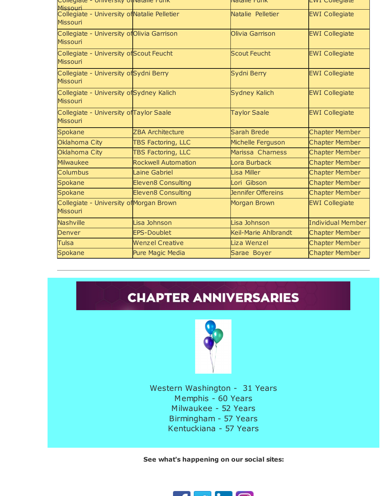| Collegiate - Onliversity Olivatalle Furik<br>Miccouri           |                            | ivatalie Furik              | cwi Comegiate            |
|-----------------------------------------------------------------|----------------------------|-----------------------------|--------------------------|
| Collegiate - University of Natalie Pelletier<br><b>Missouri</b> |                            | Natalie Pelletier           | <b>EWI Collegiate</b>    |
| Collegiate - University of Olivia Garrison<br><b>Missouri</b>   |                            | Olivia Garrison             | <b>EWI Collegiate</b>    |
| Collegiate - University of Scout Feucht<br><b>Missouri</b>      |                            | <b>Scout Feucht</b>         | <b>EWI Collegiate</b>    |
| Collegiate - University of Sydni Berry<br><b>Missouri</b>       |                            | Sydni Berry                 | <b>EWI Collegiate</b>    |
| Collegiate - University of Sydney Kalich<br><b>Missouri</b>     |                            | <b>Sydney Kalich</b>        | <b>EWI Collegiate</b>    |
| Collegiate - University of Taylor Saale<br><b>Missouri</b>      |                            | <b>Taylor Saale</b>         | <b>EWI Collegiate</b>    |
| <b>Spokane</b>                                                  | <b>ZBA Architecture</b>    | Sarah Brede                 | <b>Chapter Member</b>    |
| Oklahoma City                                                   | <b>TBS Factoring, LLC</b>  | Michelle Ferguson           | <b>Chapter Member</b>    |
| Oklahoma City                                                   | TBS Factoring, LLC         | Marissa Charness            | <b>Chapter Member</b>    |
| Milwaukee                                                       | <b>Rockwell Automation</b> | Lora Burback                | <b>Chapter Member</b>    |
| Columbus                                                        | Laine Gabriel              | Lisa Miller                 | <b>Chapter Member</b>    |
| <b>Spokane</b>                                                  | <b>Eleven8 Consulting</b>  | Lori Gibson                 | <b>Chapter Member</b>    |
| Spokane                                                         | <b>Eleven8 Consulting</b>  | Jennifer Offereins          | <b>Chapter Member</b>    |
| Collegiate - University of Morgan Brown<br><b>Missouri</b>      |                            | <b>Morgan Brown</b>         | <b>EWI Collegiate</b>    |
| <b>Nashville</b>                                                | Lisa Johnson               | Lisa Johnson                | <b>Individual Member</b> |
| <b>Denver</b>                                                   | <b>EPS-Doublet</b>         | <b>Keil-Marie Ahlbrandt</b> | <b>Chapter Member</b>    |
| <b>Tulsa</b>                                                    | <b>Wenzel Creative</b>     | Liza Wenzel                 | <b>Chapter Member</b>    |
| <b>Spokane</b>                                                  | <b>Pure Magic Media</b>    | Sarae Boyer                 | <b>Chapter Member</b>    |

# **CHAPTER ANNIVERSARIES**



Western Washington - 31 Years Memphis - 60 Years Milwaukee - 52 Years Birmingham - 57 Years Kentuckiana - 57 Years

**See what's happening on our social sites:**